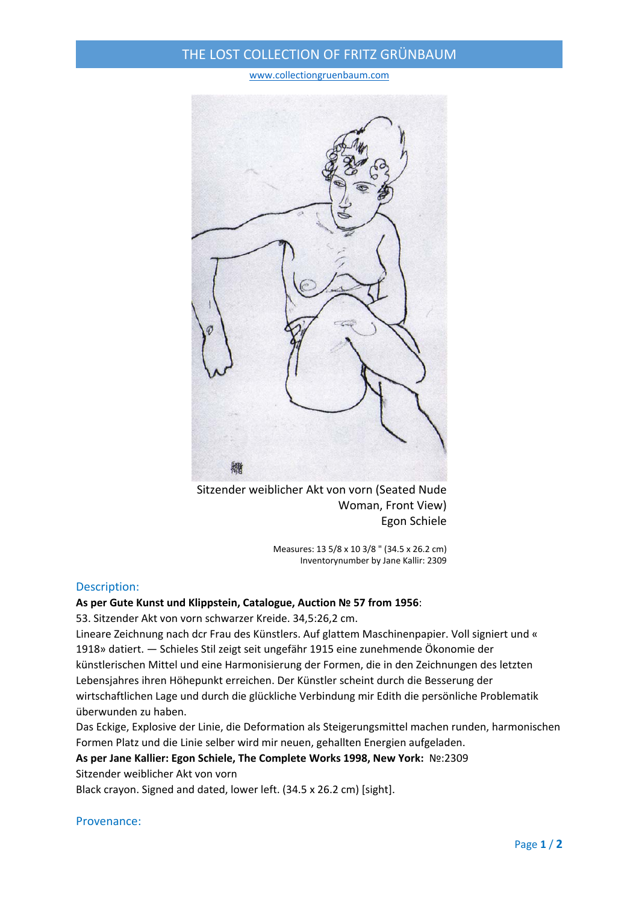# THE LOST COLLECTION OF FRITZ GRÜNBAUM

www.collectiongruenbaum.com



Sitzender weiblicher Akt von vorn (Seated Nude Woman, Front View) Egon Schiele

> Measures: 13 5/8 x 10 3/8 " (34.5 x 26.2 cm) Inventorynumber by Jane Kallir: 2309

### Description:

### **As per Gute Kunst und Klippstein, Catalogue, Auction № 57 from 1956**:

53. Sitzender Akt von vorn schwarzer Kreide. 34,5:26,2 cm.

Lineare Zeichnung nach dcr Frau des Künstlers. Auf glattem Maschinenpapier. Voll signiert und « 1918» datiert. — Schieles Stil zeigt seit ungefähr 1915 eine zunehmende Ökonomie der künstlerischen Mittel und eine Harmonisierung der Formen, die in den Zeichnungen des letzten Lebensjahres ihren Höhepunkt erreichen. Der Künstler scheint durch die Besserung der wirtschaftlichen Lage und durch die glückliche Verbindung mir Edith die persönliche Problematik überwunden zu haben.

Das Eckige, Explosive der Linie, die Deformation als Steigerungsmittel machen runden, harmonischen Formen Platz und die Linie selber wird mir neuen, gehallten Energien aufgeladen.

## **As per Jane Kallier: Egon Schiele, The Complete Works 1998, New York:** №:2309

Sitzender weiblicher Akt von vorn

Black crayon. Signed and dated, lower left. (34.5 x 26.2 cm) [sight].

#### Provenance: